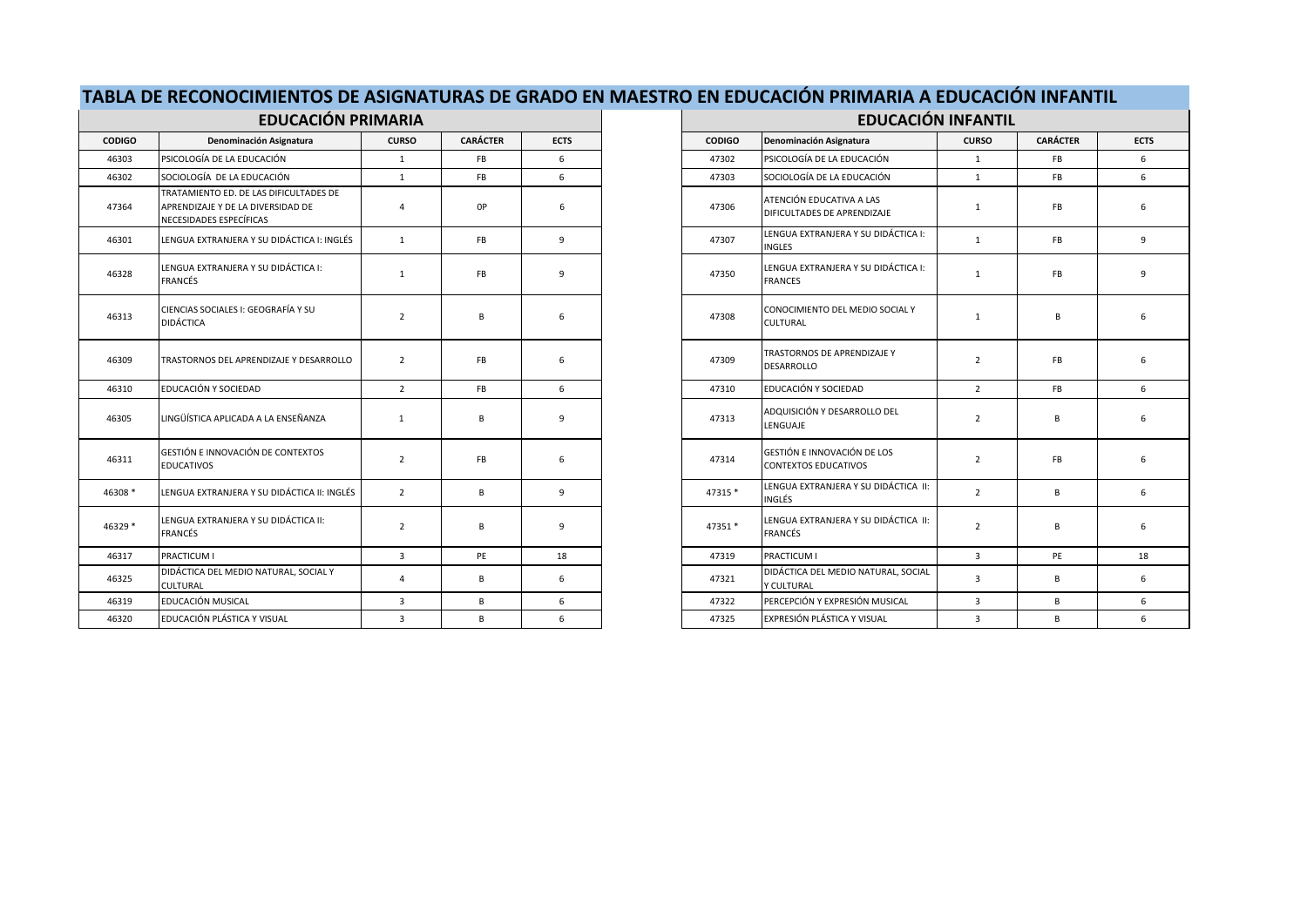| TABLA DE RECONOCIMIENTOS DE ASIGNATURAS DE GRADO EN MAESTRO EN EDUCACIÓN PRIMARIA A EDUCACIÓN INFANTIL |  |
|--------------------------------------------------------------------------------------------------------|--|
|                                                                                                        |  |

|               | <b>EDUCACIÓN PRIMARIA</b>                                                                              |                |                 |             |
|---------------|--------------------------------------------------------------------------------------------------------|----------------|-----------------|-------------|
| <b>CODIGO</b> | Denominación Asignatura                                                                                | <b>CURSO</b>   | <b>CARÁCTER</b> | <b>ECTS</b> |
| 46303         | PSICOLOGÍA DE LA EDUCACIÓN                                                                             | $\mathbf{1}$   | FB              | 6           |
| 46302         | SOCIOLOGÍA DE LA EDUCACIÓN                                                                             | $\mathbf{1}$   | <b>FB</b>       | 6           |
| 47364         | TRATAMIENTO ED. DE LAS DIFICULTADES DE<br>APRENDIZAJE Y DE LA DIVERSIDAD DE<br>NECESIDADES ESPECÍFICAS | $\overline{4}$ | 0P              | 6           |
| 46301         | LENGUA EXTRANJERA Y SU DIDÁCTICA I: INGLÉS                                                             | 1              | <b>FB</b>       | 9           |
| 46328         | LENGUA EXTRANJERA Y SU DIDÁCTICA I:<br><b>FRANCÉS</b>                                                  | 1              | FB              | 9           |
| 46313         | CIENCIAS SOCIALES I: GEOGRAFÍA Y SU<br><b>DIDÁCTICA</b>                                                | $\overline{2}$ | B               | 6           |
| 46309         | TRASTORNOS DEL APRENDIZAJE Y DESARROLLO                                                                | $\overline{2}$ | <b>FB</b>       | 6           |
| 46310         | EDUCACIÓN Y SOCIEDAD                                                                                   | $\overline{2}$ | <b>FB</b>       | 6           |
| 46305         | LINGÜÍSTICA APLICADA A LA ENSEÑANZA                                                                    | $\mathbf{1}$   | B               | 9           |
| 46311         | GESTIÓN E INNOVACIÓN DE CONTEXTOS<br><b>EDUCATIVOS</b>                                                 | $\overline{2}$ | FB              | 6           |
| 46308 *       | LENGUA EXTRANJERA Y SU DIDÁCTICA II: INGLÉS                                                            | $\overline{2}$ | B               | 9           |
| 46329 *       | LENGUA EXTRANJERA Y SU DIDÁCTICA II:<br><b>FRANCÉS</b>                                                 | $\overline{2}$ | B               | 9           |
| 46317         | PRACTICUM I                                                                                            | $\overline{3}$ | PE              | 18          |
| 46325         | DIDÁCTICA DEL MEDIO NATURAL, SOCIAL Y<br><b>CULTURAL</b>                                               | $\overline{4}$ | B               | 6           |
| 46319         | EDUCACIÓN MUSICAL                                                                                      | $\overline{3}$ | B               | 6           |
| 46320         | EDUCACIÓN PLÁSTICA Y VISUAL                                                                            | $\overline{3}$ | B               | 6           |

| <b>RIA</b> |                 |             |                                          | <b>EDUCACIÓN INFANTIL</b>                               |                |                 |             |  |  |
|------------|-----------------|-------------|------------------------------------------|---------------------------------------------------------|----------------|-----------------|-------------|--|--|
| RSO        | <b>CARÁCTER</b> | <b>ECTS</b> | <b>CODIGO</b><br>Denominación Asignatura |                                                         | <b>CURSO</b>   | <b>CARÁCTER</b> | <b>ECTS</b> |  |  |
|            | FB              | 6           | 47302                                    | PSICOLOGÍA DE LA EDUCACIÓN                              | $\mathbf{1}$   | <b>FB</b>       | 6           |  |  |
|            | FB              | 6           | 47303                                    | SOCIOLOGÍA DE LA EDUCACIÓN                              | $\mathbf{1}$   | <b>FB</b>       | 6           |  |  |
|            | 0P              | 6           | 47306                                    | ATENCIÓN EDUCATIVA A LAS<br>DIFICULTADES DE APRENDIZAJE | $\mathbf{1}$   | <b>FB</b>       | 6           |  |  |
|            | FB              | 9           | 47307                                    | LENGUA EXTRANJERA Y SU DIDÁCTICA I:<br><b>INGLES</b>    | $\mathbf{1}$   | FB              | 9           |  |  |
|            | <b>FB</b>       | 9           | 47350                                    | LENGUA EXTRANJERA Y SU DIDÁCTICA I:<br><b>FRANCES</b>   | $\mathbf{1}$   | FB              | 9           |  |  |
|            | B               | 6           | 47308                                    | CONOCIMIENTO DEL MEDIO SOCIAL Y<br><b>CULTURAL</b>      | $\mathbf{1}$   | B               | 6           |  |  |
|            | <b>FB</b>       | 6           | 47309                                    | TRASTORNOS DE APRENDIZAJE Y<br>DESARROLLO               | $\overline{2}$ | <b>FB</b>       | 6           |  |  |
|            | FB              | 6           | 47310                                    | EDUCACIÓN Y SOCIEDAD                                    | $\overline{2}$ | <b>FB</b>       | 6           |  |  |
|            | B               | 9           | 47313                                    | ADQUISICIÓN Y DESARROLLO DEL<br>LENGUAJE                | $\overline{2}$ | B               | 6           |  |  |
|            | <b>FB</b>       | 6           | 47314                                    | GESTIÓN E INNOVACIÓN DE LOS<br>CONTEXTOS EDUCATIVOS     | $\overline{2}$ | FB              | 6           |  |  |
|            | B               | 9           | 47315 *                                  | LENGUA EXTRANJERA Y SU DIDÁCTICA II:<br>INGLÉS          | $\overline{2}$ | B               | 6           |  |  |
|            | B               | 9           | 47351 *                                  | LENGUA EXTRANJERA Y SU DIDÁCTICA II:<br><b>FRANCÉS</b>  | $\overline{2}$ | B               | 6           |  |  |
|            | PE              | 18          | 47319                                    | PRACTICUM I                                             | $\overline{3}$ | PE              | 18          |  |  |
|            | B               | 6           | 47321                                    | DIDÁCTICA DEL MEDIO NATURAL, SOCIAL<br>Y CULTURAL       | 3              | B               | 6           |  |  |
|            | B               | 6           | 47322                                    | PERCEPCIÓN Y EXPRESIÓN MUSICAL                          | $\overline{3}$ | B               | 6           |  |  |
|            | B               | 6           | 47325                                    | EXPRESIÓN PLÁSTICA Y VISUAL                             | 3              | B               | 6           |  |  |